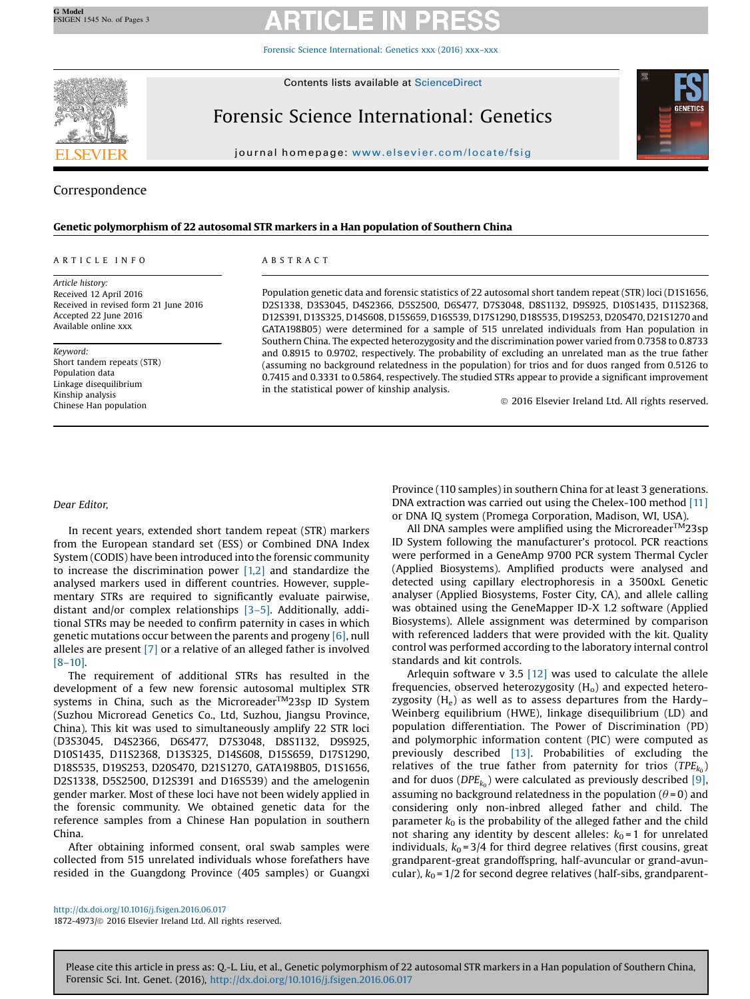Forensic Science [International:](http://dx.doi.org/10.1016/j.fsigen.2016.06.017) Genetics xxx (2016) xxx–xxx



Forensic Science International: Genetics

journal homepage: <www.elsevier.com/locate/fsig>



# Correspondence

### Genetic polymorphism of 22 autosomal STR markers in a Han population of Southern China

### A R T I C L E I N F O

Article history: Received 12 April 2016 Received in revised form 21 June 2016 Accepted 22 June 2016 Available online xxx

Keyword: Short tandem repeats (STR) Population data Linkage disequilibrium Kinship analysis Chinese Han population

### A B S T R A C T

Population genetic data and forensic statistics of 22 autosomal short tandem repeat (STR) loci (D1S1656, D2S1338, D3S3045, D4S2366, D5S2500, D6S477, D7S3048, D8S1132, D9S925, D10S1435, D11S2368, D12S391, D13S325, D14S608, D15S659, D16S539, D17S1290, D18S535, D19S253, D20S470, D21S1270 and GATA198B05) were determined for a sample of 515 unrelated individuals from Han population in Southern China. The expected heterozygosity and the discrimination power varied from 0.7358 to 0.8733 and 0.8915 to 0.9702, respectively. The probability of excluding an unrelated man as the true father (assuming no background relatedness in the population) for trios and for duos ranged from 0.5126 to 0.7415 and 0.3331 to 0.5864, respectively. The studied STRs appear to provide a significant improvement in the statistical power of kinship analysis.

ã 2016 Elsevier Ireland Ltd. All rights reserved.

### Dear Editor,

In recent years, extended short tandem repeat (STR) markers from the European standard set (ESS) or Combined DNA Index System (CODIS) have been introduced into the forensic community to increase the discrimination power  $[1,2]$  and standardize the analysed markers used in different countries. However, supplementary STRs are required to significantly evaluate pairwise, distant and/or complex relationships [\[3](#page-1-0)–5]. Additionally, additional STRs may be needed to confirm paternity in cases in which genetic mutations occur between the parents and progeny [\[6\],](#page-1-0) null alleles are present [\[7\]](#page-1-0) or a relative of an alleged father is involved [8–[10\]](#page-1-0).

The requirement of additional STRs has resulted in the development of a few new forensic autosomal multiplex STR systems in China, such as the Microreader<sup>TM</sup>23sp ID System (Suzhou Microread Genetics Co., Ltd, Suzhou, Jiangsu Province, China). This kit was used to simultaneously amplify 22 STR loci (D3S3045, D4S2366, D6S477, D7S3048, D8S1132, D9S925, D10S1435, D11S2368, D13S325, D14S608, D15S659, D17S1290, D18S535, D19S253, D20S470, D21S1270, GATA198B05, D1S1656, D2S1338, D5S2500, D12S391 and D16S539) and the amelogenin gender marker. Most of these loci have not been widely applied in the forensic community. We obtained genetic data for the reference samples from a Chinese Han population in southern China.

After obtaining informed consent, oral swab samples were collected from 515 unrelated individuals whose forefathers have resided in the Guangdong Province (405 samples) or Guangxi Province (110 samples) in southern China for at least 3 generations. DNA extraction was carried out using the Chelex-100 method [\[11\]](#page-1-0) or DNA IQ system (Promega Corporation, Madison, WI, USA).

All DNA samples were amplified using the Microreader<sup>TM</sup>23sp ID System following the manufacturer's protocol. PCR reactions were performed in a GeneAmp 9700 PCR system Thermal Cycler (Applied Biosystems). Amplified products were analysed and detected using capillary electrophoresis in a 3500xL Genetic analyser (Applied Biosystems, Foster City, CA), and allele calling was obtained using the GeneMapper ID-X 1.2 software (Applied Biosystems). Allele assignment was determined by comparison with referenced ladders that were provided with the kit. Quality control was performed according to the laboratory internal control standards and kit controls.

Arlequin software v 3.5  $[12]$  was used to calculate the allele frequencies, observed heterozygosity  $(H<sub>o</sub>)$  and expected heterozygosity  $(H_e)$  as well as to assess departures from the Hardy– Weinberg equilibrium (HWE), linkage disequilibrium (LD) and population differentiation. The Power of Discrimination (PD) and polymorphic information content (PIC) were computed as previously described [\[13\]](#page-1-0). Probabilities of excluding the relatives of the true father from paternity for trios  $(TPE_{k_0})$ and for duos ( $DPE_{k_0}$ ) were calculated as previously described [\[9\]](#page-1-0), assuming no background relatedness in the population ( $\theta$ =0) and considering only non-inbred alleged father and child. The parameter  $k_0$  is the probability of the alleged father and the child not sharing any identity by descent alleles:  $k_0 = 1$  for unrelated individuals,  $k_0 = 3/4$  for third degree relatives (first cousins, great grandparent-great grandoffspring, half-avuncular or grand-avuncular),  $k_0$  = 1/2 for second degree relatives (half-sibs, grandparent-

<http://dx.doi.org/10.1016/j.fsigen.2016.06.017> 1872-4973/© 2016 Elsevier Ireland Ltd. All rights reserved.

Please cite this article in press as: Q.-L. Liu, et al., Genetic polymorphism of 22 autosomal STR markers in a Han population of Southern China, Forensic Sci. Int. Genet. (2016), <http://dx.doi.org/10.1016/j.fsigen.2016.06.017>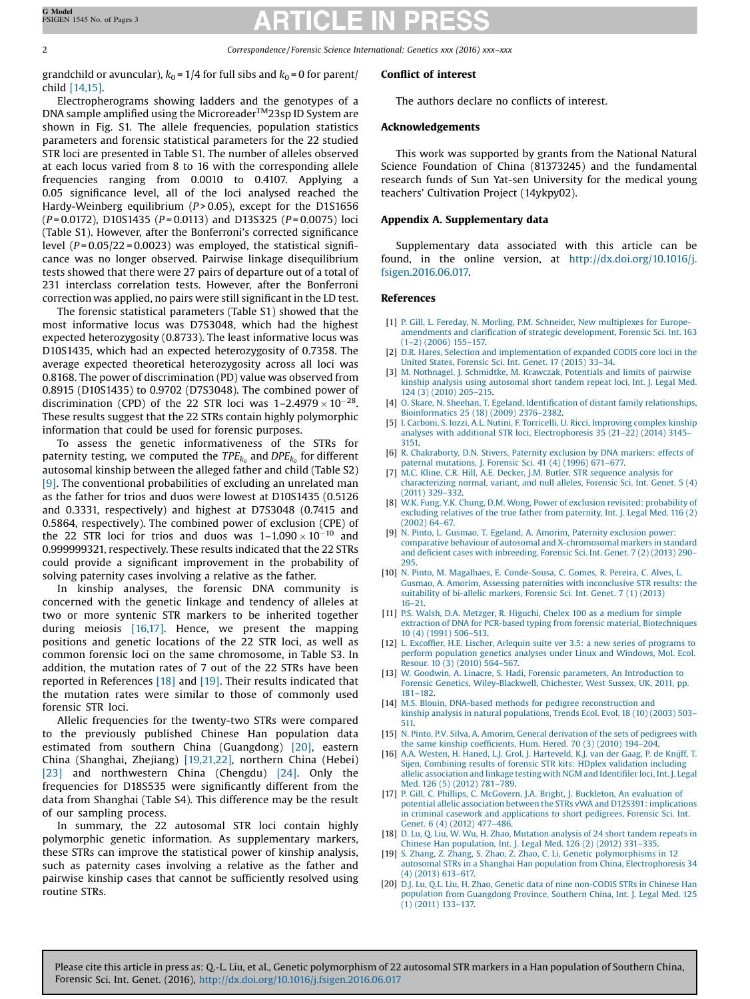2 Correspondence / Forensic Science International: Genetics xxx (2016) xxx–xxx

grandchild or avuncular),  $k_0 = 1/4$  for full sibs and  $k_0 = 0$  for parent/ child [14,15].

Electropherograms showing ladders and the genotypes of a DNA sample amplified using the Microreader™23sp ID System are shown in Fig. S1. The allele frequencies, population statistics parameters and forensic statistical parameters for the 22 studied STR loci are presented in Table S1. The number of alleles observed at each locus varied from 8 to 16 with the corresponding allele frequencies ranging from 0.0010 to 0.4107. Applying a 0.05 significance level, all of the loci analysed reached the Hardy-Weinberg equilibrium ( $P > 0.05$ ), except for the D1S1656  $(P=0.0172)$ , D10S1435 ( $P=0.0113$ ) and D13S325 ( $P=0.0075$ ) loci (Table S1). However, after the Bonferroni's corrected significance level  $(P = 0.05/22 = 0.0023)$  was employed, the statistical significance was no longer observed. Pairwise linkage disequilibrium tests showed that there were 27 pairs of departure out of a total of 231 interclass correlation tests. However, after the Bonferroni correction was applied, no pairs were still significant in the LD test.

The forensic statistical parameters (Table S1) showed that the most informative locus was D7S3048, which had the highest expected heterozygosity (0.8733). The least informative locus was D10S1435, which had an expected heterozygosity of 0.7358. The average expected theoretical heterozygosity across all loci was 0.8168. The power of discrimination (PD) value was observed from 0.8915 (D10S1435) to 0.9702 (D7S3048). The combined power of discrimination (CPD) of the 22 STR loci was  $1-2.4979 \times 10^{-28}$ . These results suggest that the 22 STRs contain highly polymorphic information that could be used for forensic purposes.

To assess the genetic informativeness of the STRs for paternity testing, we computed the  $TPE_{k_0}$  and  $DPE_{k_0}$  for different autosomal kinship between the alleged father and child (Table S2) [9]. The conventional probabilities of excluding an unrelated man as the father for trios and duos were lowest at D10S1435 (0.5126 and 0.3331, respectively) and highest at D7S3048 (0.7415 and 0.5864, respectively). The combined power of exclusion (CPE) of the 22 STR loci for trios and duos was  $1-1.090 \times 10^{-10}$  and 0.999999321, respectively. These results indicated that the 22 STRs could provide a significant improvement in the probability of solving paternity cases involving a relative as the father.

In kinship analyses, the forensic DNA community is concerned with the genetic linkage and tendency of alleles at two or more syntenic STR markers to be inherited together during meiosis [16,17]. Hence, we present the mapping positions and genetic locations of the 22 STR loci, as well as common forensic loci on the same chromosome, in Table S3. In addition, the mutation rates of 7 out of the 22 STRs have been reported in References [18] and [19]. Their results indicated that the mutation rates were similar to those of commonly used forensic STR loci.

Allelic frequencies for the twenty-two STRs were compared to the previously published Chinese Han population data estimated from southern China (Guangdong) [20], eastern China (Shanghai, Zhejiang) [19,21,22], northern China (Hebei) [\[23\]](#page-2-0) and northwestern China (Chengdu) [\[24\].](#page-2-0) Only the frequencies for D18S535 were significantly different from the data from Shanghai (Table S4). This difference may be the result of our sampling process.

In summary, the 22 autosomal STR loci contain highly polymorphic genetic information. As supplementary markers, these STRs can improve the statistical power of kinship analysis, such as paternity cases involving a relative as the father and pairwise kinship cases that cannot be sufficiently resolved using routine STRs.

## Conflict of interest

The authors declare no conflicts of interest.

## Acknowledgements

This work was supported by grants from the National Natural Science Foundation of China (81373245) and the fundamental research funds of Sun Yat-sen University for the medical young teachers' Cultivation Project (14ykpy02).

## Appendix A. Supplementary data

Supplementary data associated with this article can be found, in the online version, at [http://dx.doi.org/10.1016/j.](http://dx.doi.org/10.1016/j.fsigen.2016.06.017) [fsigen.2016.06.017.](http://dx.doi.org/10.1016/j.fsigen.2016.06.017)

### References

- [1] P. Gill, L. Fereday, N. Morling, P.M. Schneider, New [multiplexes](http://refhub.elsevier.com/S1872-4973(16)30118-1/sbref0005) for Europe amendments and clarification of strategic [development,](http://refhub.elsevier.com/S1872-4973(16)30118-1/sbref0005) Forensic Sci. Int. 163 (1–2) [\(2006\)](http://refhub.elsevier.com/S1872-4973(16)30118-1/sbref0005) 155–157.
- [2] D.R. Hares, Selection and [implementation](http://refhub.elsevier.com/S1872-4973(16)30118-1/sbref0010) of expanded CODIS core loci in the United States, [Forensic](http://refhub.elsevier.com/S1872-4973(16)30118-1/sbref0010) Sci. Int. Genet. 17 (2015) 33–34.
- [3] M. Nothnagel, J. [Schmidtke,](http://refhub.elsevier.com/S1872-4973(16)30118-1/sbref0015) M. Krawczak, Potentials and limits of pairwise kinship analysis using [autosomal](http://refhub.elsevier.com/S1872-4973(16)30118-1/sbref0015) short tandem repeat loci, Int. J. Legal Med. 124 (3) [\(2010\)](http://refhub.elsevier.com/S1872-4973(16)30118-1/sbref0015) 205–215.
- [4] O. Skare, N. Sheehan, T. Egeland, Identification of distant family [relationships,](http://refhub.elsevier.com/S1872-4973(16)30118-1/sbref0020) [Bioinformatics](http://refhub.elsevier.com/S1872-4973(16)30118-1/sbref0020) 25 (18) (2009) 2376–2382.
- [5] I. Carboni, S. Iozzi, A.L. Nutini, F. Torricelli, U. Ricci, [Improving](http://refhub.elsevier.com/S1872-4973(16)30118-1/sbref0025) complex kinship analyses with additional STR loci, [Electrophoresis](http://refhub.elsevier.com/S1872-4973(16)30118-1/sbref0025) 35 (21–22) (2014) 3145– [3151.](http://refhub.elsevier.com/S1872-4973(16)30118-1/sbref0025)
- [6] R. [Chakraborty,](http://refhub.elsevier.com/S1872-4973(16)30118-1/sbref0030) D.N. Stivers, Paternity exclusion by DNA markers: effects of paternal [mutations,](http://refhub.elsevier.com/S1872-4973(16)30118-1/sbref0030) J. Forensic Sci. 41 (4) (1996) 671–677.
- [7] M.C. Kline, C.R. Hill, A.E. Decker, J.M. Butler, STR [sequence](http://refhub.elsevier.com/S1872-4973(16)30118-1/sbref0035) analysis for [characterizing](http://refhub.elsevier.com/S1872-4973(16)30118-1/sbref0035) normal, variant, and null alleles, Forensic Sci. Int. Genet. 5 (4) [\(2011\)](http://refhub.elsevier.com/S1872-4973(16)30118-1/sbref0035) 329–332.
- [8] W.K. Fung, Y.K. Chung, D.M. Wong, Power of exclusion revisited: [probability](http://refhub.elsevier.com/S1872-4973(16)30118-1/sbref0040) of excluding relatives of the true father from [paternity,](http://refhub.elsevier.com/S1872-4973(16)30118-1/sbref0040) Int. J. Legal Med. 116 (2) [\(2002\)](http://refhub.elsevier.com/S1872-4973(16)30118-1/sbref0040) 64–67.
- [9] N. Pinto, L. Gusmao, T. Egeland, A. Amorim, Paternity [exclusion](http://refhub.elsevier.com/S1872-4973(16)30118-1/sbref0045) power: comparative behaviour of autosomal and [X-chromosomal](http://refhub.elsevier.com/S1872-4973(16)30118-1/sbref0045) markers in standard and deficient cases with [inbreeding,](http://refhub.elsevier.com/S1872-4973(16)30118-1/sbref0045) Forensic Sci. Int. Genet. 7 (2) (2013) 290– [295](http://refhub.elsevier.com/S1872-4973(16)30118-1/sbref0045).
- [10] N. Pinto, M. Magalhaes, E. [Conde-Sousa,](http://refhub.elsevier.com/S1872-4973(16)30118-1/sbref0050) C. Gomes, R. Pereira, C. Alves, L. Gusmao, A. Amorim, Assessing paternities with [inconclusive](http://refhub.elsevier.com/S1872-4973(16)30118-1/sbref0050) STR results: the [suitability](http://refhub.elsevier.com/S1872-4973(16)30118-1/sbref0050) of bi-allelic markers, Forensic Sci. Int. Genet. 7 (1) (2013) 16–[21.](http://refhub.elsevier.com/S1872-4973(16)30118-1/sbref0050)
- [11] P.S. Walsh, D.A. [Metzger,](http://refhub.elsevier.com/S1872-4973(16)30118-1/sbref0055) R. Higuchi, Chelex 100 as a medium for simple extraction of DNA for PCR-based typing from forensic material, [Biotechniques](http://refhub.elsevier.com/S1872-4973(16)30118-1/sbref0055) 10 (4) [\(1991\)](http://refhub.elsevier.com/S1872-4973(16)30118-1/sbref0055) 506–513.
- [12] L. Excoffier, H.E. Lischer, Arlequin suite ver 3.5: a new series of [programs](http://refhub.elsevier.com/S1872-4973(16)30118-1/sbref0060) to perform [population](http://refhub.elsevier.com/S1872-4973(16)30118-1/sbref0060) genetics analyses under Linux and Windows, Mol. Ecol. [Resour.](http://refhub.elsevier.com/S1872-4973(16)30118-1/sbref0060) 10 (3) (2010) 564–567.
- [13] W. Goodwin, A. Linacre, S. Hadi, Forensic parameters, An [Introduction](http://refhub.elsevier.com/S1872-4973(16)30118-1/sbref0065) to Forensic Genetics, [Wiley-Blackwell,](http://refhub.elsevier.com/S1872-4973(16)30118-1/sbref0065) Chichester, West Sussex, UK, 2011, pp. 181–[182](http://refhub.elsevier.com/S1872-4973(16)30118-1/sbref0065).
- [14] M.S. Blouin, DNA-based methods for pedigree [reconstruction](http://refhub.elsevier.com/S1872-4973(16)30118-1/sbref0070) and kinship analysis in natural [populations,](http://refhub.elsevier.com/S1872-4973(16)30118-1/sbref0070) Trends Ecol. Evol. 18 (10) (2003) 503– [511.](http://refhub.elsevier.com/S1872-4973(16)30118-1/sbref0070)
- [15] N. Pinto, P.V. Silva, A. Amorim, General [derivation](http://refhub.elsevier.com/S1872-4973(16)30118-1/sbref0075) of the sets of pedigrees with the same [kinship](http://refhub.elsevier.com/S1872-4973(16)30118-1/sbref0075) coefficients, Hum. Hered. 70 (3) (2010) 194–204.
- [16] A.A. Westen, H. Haned, L.J. Grol, J. [Harteveld,](http://refhub.elsevier.com/S1872-4973(16)30118-1/sbref0080) K.J. van der Gaag, P. de Knijff, T. Sijen, [Combining](http://refhub.elsevier.com/S1872-4973(16)30118-1/sbref0080) results of forensic STR kits: HDplex validation including allelic [association](http://refhub.elsevier.com/S1872-4973(16)30118-1/sbref0080) and linkage testing with NGM and Identifiler loci, Int. J. Legal Med. 126 (5) [\(2012\)](http://refhub.elsevier.com/S1872-4973(16)30118-1/sbref0080) 781–789.
- [17] P. Gill, C. Phillips, C. [McGovern,](http://refhub.elsevier.com/S1872-4973(16)30118-1/sbref0085) J.A. Bright, J. Buckleton, An evaluation of potential allelic association between the STRs vWA and D12S391: [implications](http://refhub.elsevier.com/S1872-4973(16)30118-1/sbref0085) in criminal casework and [applications](http://refhub.elsevier.com/S1872-4973(16)30118-1/sbref0085) to short pedigrees, Forensic Sci. Int. Genet. 6 (4) [\(2012\)](http://refhub.elsevier.com/S1872-4973(16)30118-1/sbref0085) 477–486.
- [18] D. Lu, Q. Liu, W. Wu, H. Zhao, [Mutation](http://refhub.elsevier.com/S1872-4973(16)30118-1/sbref0090) analysis of 24 short tandem repeats in Chinese Han [population,](http://refhub.elsevier.com/S1872-4973(16)30118-1/sbref0090) Int. J. Legal Med. 126 (2) (2012) 331–335.
- [19] S. Zhang, Z. Zhang, S. Zhao, Z. Zhao, C. Li, Genetic [polymorphisms](http://refhub.elsevier.com/S1872-4973(16)30118-1/sbref0095) in 12 autosomal STRs in a Shanghai Han population from China, [Electrophoresis](http://refhub.elsevier.com/S1872-4973(16)30118-1/sbref0095) 34 (4) [\(2013\)](http://refhub.elsevier.com/S1872-4973(16)30118-1/sbref0095) 613–617.
- [20] D.J. Lu, Q.L. Liu, H. Zhao, Genetic data of nine [non-CODIS](http://refhub.elsevier.com/S1872-4973(16)30118-1/sbref0100) STRs in Chinese Han population from [Guangdong](http://refhub.elsevier.com/S1872-4973(16)30118-1/sbref0100) Province, Southern China, Int. J. Legal Med. 125 (1) [\(2011\)](http://refhub.elsevier.com/S1872-4973(16)30118-1/sbref0100) 133–137.

Please cite this article in press as: Q.-L. Liu, et al., Genetic polymorphism of 22 autosomal STR markers in a Han population of Southern China, Forensic Sci. Int. Genet. (2016), <http://dx.doi.org/10.1016/j.fsigen.2016.06.017>

<span id="page-1-0"></span>